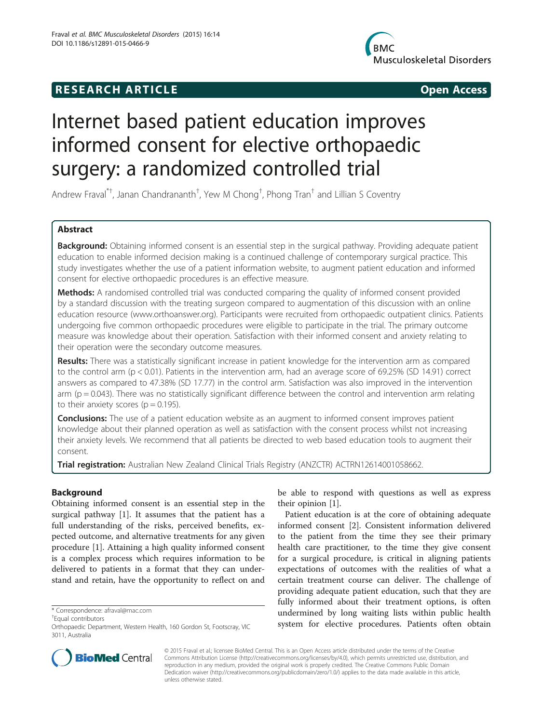# **RESEARCH ARTICLE Example 2014 The SEAR CH ACCESS**



# Internet based patient education improves informed consent for elective orthopaedic surgery: a randomized controlled trial

Andrew Fraval\*<sup>+</sup>, Janan Chandrananth<sup>†</sup>, Yew M Chong<sup>+</sup>, Phong Tran<sup>†</sup> and Lillian S Coventry

# Abstract

Background: Obtaining informed consent is an essential step in the surgical pathway. Providing adequate patient education to enable informed decision making is a continued challenge of contemporary surgical practice. This study investigates whether the use of a patient information website, to augment patient education and informed consent for elective orthopaedic procedures is an effective measure.

Methods: A randomised controlled trial was conducted comparing the quality of informed consent provided by a standard discussion with the treating surgeon compared to augmentation of this discussion with an online education resource ([www.orthoanswer.org\)](http://www.orthoanswer.org). Participants were recruited from orthopaedic outpatient clinics. Patients undergoing five common orthopaedic procedures were eligible to participate in the trial. The primary outcome measure was knowledge about their operation. Satisfaction with their informed consent and anxiety relating to their operation were the secondary outcome measures.

Results: There was a statistically significant increase in patient knowledge for the intervention arm as compared to the control arm (p < 0.01). Patients in the intervention arm, had an average score of 69.25% (SD 14.91) correct answers as compared to 47.38% (SD 17.77) in the control arm. Satisfaction was also improved in the intervention arm ( $p = 0.043$ ). There was no statistically significant difference between the control and intervention arm relating to their anxiety scores ( $p = 0.195$ ).

**Conclusions:** The use of a patient education website as an augment to informed consent improves patient knowledge about their planned operation as well as satisfaction with the consent process whilst not increasing their anxiety levels. We recommend that all patients be directed to web based education tools to augment their consent.

Trial registration: Australian New Zealand Clinical Trials Registry (ANZCTR) [ACTRN12614001058662.](https://www.anzctr.org.au/Trial/Registration/TrialReview.aspx?id=367100)

# Background

Obtaining informed consent is an essential step in the surgical pathway [[1\]](#page-4-0). It assumes that the patient has a full understanding of the risks, perceived benefits, expected outcome, and alternative treatments for any given procedure [\[1](#page-4-0)]. Attaining a high quality informed consent is a complex process which requires information to be delivered to patients in a format that they can understand and retain, have the opportunity to reflect on and

Equal contributors

be able to respond with questions as well as express their opinion [\[1](#page-4-0)].

Patient education is at the core of obtaining adequate informed consent [\[2\]](#page-4-0). Consistent information delivered to the patient from the time they see their primary health care practitioner, to the time they give consent for a surgical procedure, is critical in aligning patients expectations of outcomes with the realities of what a certain treatment course can deliver. The challenge of providing adequate patient education, such that they are fully informed about their treatment options, is often undermined by long waiting lists within public health system for elective procedures. Patients often obtain



© 2015 Fraval et al.; licensee BioMed Central. This is an Open Access article distributed under the terms of the Creative Commons Attribution License [\(http://creativecommons.org/licenses/by/4.0\)](http://creativecommons.org/licenses/by/4.0), which permits unrestricted use, distribution, and reproduction in any medium, provided the original work is properly credited. The Creative Commons Public Domain Dedication waiver [\(http://creativecommons.org/publicdomain/zero/1.0/](http://creativecommons.org/publicdomain/zero/1.0/)) applies to the data made available in this article, unless otherwise stated.

<sup>\*</sup> Correspondence: [afraval@mac.com](mailto:afraval@mac.com) †

Orthopaedic Department, Western Health, 160 Gordon St, Footscray, VIC 3011, Australia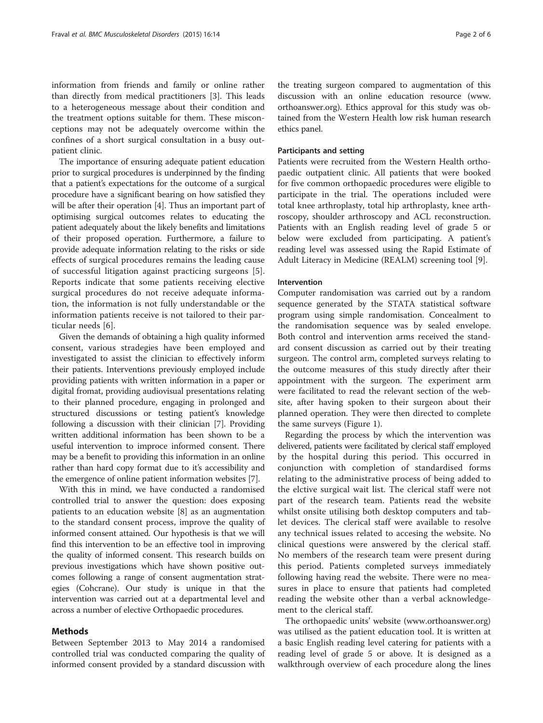information from friends and family or online rather than directly from medical practitioners [\[3](#page-4-0)]. This leads to a heterogeneous message about their condition and the treatment options suitable for them. These misconceptions may not be adequately overcome within the confines of a short surgical consultation in a busy outpatient clinic.

The importance of ensuring adequate patient education prior to surgical procedures is underpinned by the finding that a patient's expectations for the outcome of a surgical procedure have a significant bearing on how satisfied they will be after their operation [\[4](#page-4-0)]. Thus an important part of optimising surgical outcomes relates to educating the patient adequately about the likely benefits and limitations of their proposed operation. Furthermore, a failure to provide adequate information relating to the risks or side effects of surgical procedures remains the leading cause of successful litigation against practicing surgeons [\[5](#page-4-0)]. Reports indicate that some patients receiving elective surgical procedures do not receive adequate information, the information is not fully understandable or the information patients receive is not tailored to their particular needs [\[6](#page-4-0)].

Given the demands of obtaining a high quality informed consent, various stradegies have been employed and investigated to assist the clinician to effectively inform their patients. Interventions previously employed include providing patients with written information in a paper or digital fromat, providing audiovisual presentations relating to their planned procedure, engaging in prolonged and structured discussions or testing patient's knowledge following a discussion with their clinician [[7\]](#page-4-0). Providing written additional information has been shown to be a useful intervention to improce informed consent. There may be a benefit to providing this information in an online rather than hard copy format due to it's accessibility and the emergence of online patient information websites [\[7](#page-4-0)].

With this in mind, we have conducted a randomised controlled trial to answer the question: does exposing patients to an education website [[8\]](#page-4-0) as an augmentation to the standard consent process, improve the quality of informed consent attained. Our hypothesis is that we will find this intervention to be an effective tool in improving the quality of informed consent. This research builds on previous investigations which have shown positive outcomes following a range of consent augmentation strategies (Cohcrane). Our study is unique in that the intervention was carried out at a departmental level and across a number of elective Orthopaedic procedures.

### Methods

Between September 2013 to May 2014 a randomised controlled trial was conducted comparing the quality of informed consent provided by a standard discussion with the treating surgeon compared to augmentation of this discussion with an online education resource [\(www.](http://www.orthoanswer.org/) [orthoanswer.org](http://www.orthoanswer.org/)). Ethics approval for this study was obtained from the Western Health low risk human research ethics panel.

#### Participants and setting

Patients were recruited from the Western Health orthopaedic outpatient clinic. All patients that were booked for five common orthopaedic procedures were eligible to participate in the trial. The operations included were total knee arthroplasty, total hip arthroplasty, knee arthroscopy, shoulder arthroscopy and ACL reconstruction. Patients with an English reading level of grade 5 or below were excluded from participating. A patient's reading level was assessed using the Rapid Estimate of Adult Literacy in Medicine (REALM) screening tool [[9\]](#page-4-0).

#### Intervention

Computer randomisation was carried out by a random sequence generated by the STATA statistical software program using simple randomisation. Concealment to the randomisation sequence was by sealed envelope. Both control and intervention arms received the standard consent discussion as carried out by their treating surgeon. The control arm, completed surveys relating to the outcome measures of this study directly after their appointment with the surgeon. The experiment arm were facilitated to read the relevant section of the website, after having spoken to their surgeon about their planned operation. They were then directed to complete the same surveys (Figure [1](#page-2-0)).

Regarding the process by which the intervention was delivered, patients were facilitated by clerical staff employed by the hospital during this period. This occurred in conjunction with completion of standardised forms relating to the administrative process of being added to the elctive surgical wait list. The clerical staff were not part of the research team. Patients read the website whilst onsite utilising both desktop computers and tablet devices. The clerical staff were available to resolve any technical issues related to accesing the website. No clinical questions were answered by the clerical staff. No members of the research team were present during this period. Patients completed surveys immediately following having read the website. There were no measures in place to ensure that patients had completed reading the website other than a verbal acknowledgement to the clerical staff.

The orthopaedic units' website [\(www.orthoanswer.org](http://www.orthoanswer.org/)) was utilised as the patient education tool. It is written at a basic English reading level catering for patients with a reading level of grade 5 or above. It is designed as a walkthrough overview of each procedure along the lines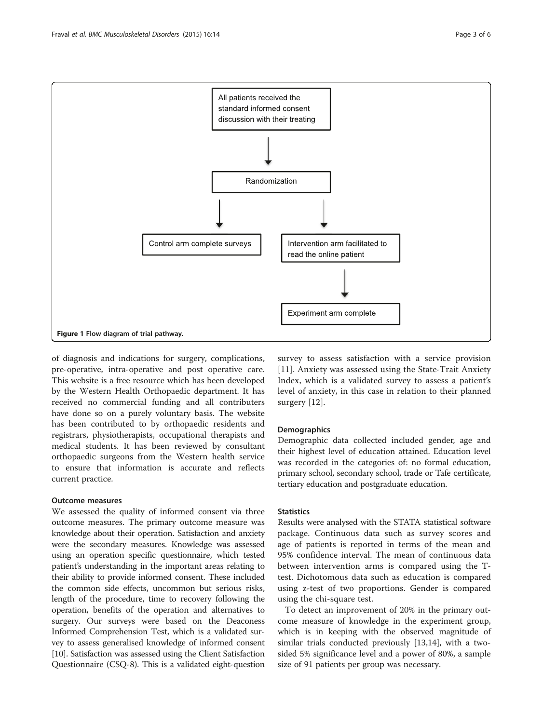<span id="page-2-0"></span>

of diagnosis and indications for surgery, complications, pre-operative, intra-operative and post operative care. This website is a free resource which has been developed by the Western Health Orthopaedic department. It has received no commercial funding and all contributers have done so on a purely voluntary basis. The website has been contributed to by orthopaedic residents and registrars, physiotherapists, occupational therapists and medical students. It has been reviewed by consultant orthopaedic surgeons from the Western health service to ensure that information is accurate and reflects current practice.

#### Outcome measures

We assessed the quality of informed consent via three outcome measures. The primary outcome measure was knowledge about their operation. Satisfaction and anxiety were the secondary measures. Knowledge was assessed using an operation specific questionnaire, which tested patient's understanding in the important areas relating to their ability to provide informed consent. These included the common side effects, uncommon but serious risks, length of the procedure, time to recovery following the operation, benefits of the operation and alternatives to surgery. Our surveys were based on the Deaconess Informed Comprehension Test, which is a validated survey to assess generalised knowledge of informed consent [[10](#page-4-0)]. Satisfaction was assessed using the Client Satisfaction Questionnaire (CSQ-8). This is a validated eight-question

survey to assess satisfaction with a service provision [[11\]](#page-4-0). Anxiety was assessed using the State-Trait Anxiety Index, which is a validated survey to assess a patient's level of anxiety, in this case in relation to their planned surgery [[12](#page-4-0)].

#### **Demographics**

Demographic data collected included gender, age and their highest level of education attained. Education level was recorded in the categories of: no formal education, primary school, secondary school, trade or Tafe certificate, tertiary education and postgraduate education.

## **Statistics**

Results were analysed with the STATA statistical software package. Continuous data such as survey scores and age of patients is reported in terms of the mean and 95% confidence interval. The mean of continuous data between intervention arms is compared using the Ttest. Dichotomous data such as education is compared using z-test of two proportions. Gender is compared using the chi-square test.

To detect an improvement of 20% in the primary outcome measure of knowledge in the experiment group, which is in keeping with the observed magnitude of similar trials conducted previously [\[13](#page-4-0)[,14](#page-5-0)], with a twosided 5% significance level and a power of 80%, a sample size of 91 patients per group was necessary.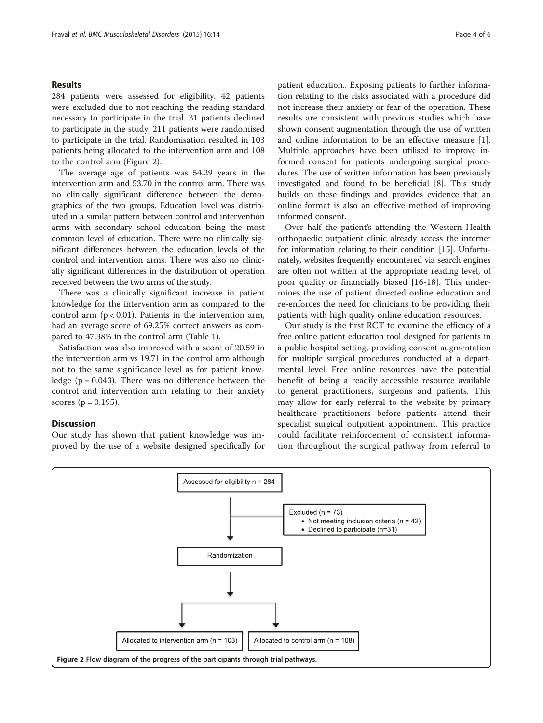#### Results

284 patients were assessed for eligibility. 42 patients were excluded due to not reaching the reading standard necessary to participate in the trial. 31 patients declined to participate in the study. 211 patients were randomised to participate in the trial. Randomisation resulted in 103 patients being allocated to the intervention arm and 108 to the control arm (Figure 2).

The average age of patients was 54.29 years in the intervention arm and 53.70 in the control arm. There was no clinically significant difference between the demographics of the two groups. Education level was distributed in a similar pattern between control and intervention arms with secondary school education being the most common level of education. There were no clinically significant differences between the education levels of the control and intervention arms. There was also no clinically significant differences in the distribution of operation received between the two arms of the study.

There was a clinically significant increase in patient knowledge for the intervention arm as compared to the control arm  $(p < 0.01)$ . Patients in the intervention arm, had an average score of 69.25% correct answers as compared to 47.38% in the control arm (Table [1\)](#page-4-0).

Satisfaction was also improved with a score of 20.59 in the intervention arm vs 19.71 in the control arm although not to the same significance level as for patient knowledge ( $p = 0.043$ ). There was no difference between the control and intervention arm relating to their anxiety scores ( $p = 0.195$ ).

### **Discussion**

Our study has shown that patient knowledge was improved by the use of a website designed specifically for

patient education.. Exposing patients to further information relating to the risks associated with a procedure did not increase their anxiety or fear of the operation. These results are consistent with previous studies which have shown consent augmentation through the use of written and online information to be an effective measure [\[1](#page-4-0)]. Multiple approaches have been utilised to improve informed consent for patients undergoing surgical procedures. The use of written information has been previously investigated and found to be beneficial [\[8](#page-4-0)]. This study builds on these findings and provides evidence that an online format is also an effective method of improving informed consent.

Over half the patient's attending the Western Health orthopaedic outpatient clinic already access the internet for information relating to their condition [\[15](#page-5-0)]. Unfortunately, websites frequently encountered via search engines are often not written at the appropriate reading level, of poor quality or financially biased [[16-18](#page-5-0)]. This undermines the use of patient directed online education and re-enforces the need for clinicians to be providing their patients with high quality online education resources.

Our study is the first RCT to examine the efficacy of a free online patient education tool designed for patients in a public hospital setting, providing consent augmentation for multiple surgical procedures conducted at a departmental level. Free online resources have the potential benefit of being a readily accessible resource available to general practitioners, surgeons and patients. This may allow for early referral to the website by primary healthcare practitioners before patients attend their specialist surgical outpatient appointment. This practice could facilitate reinforcement of consistent information throughout the surgical pathway from referral to

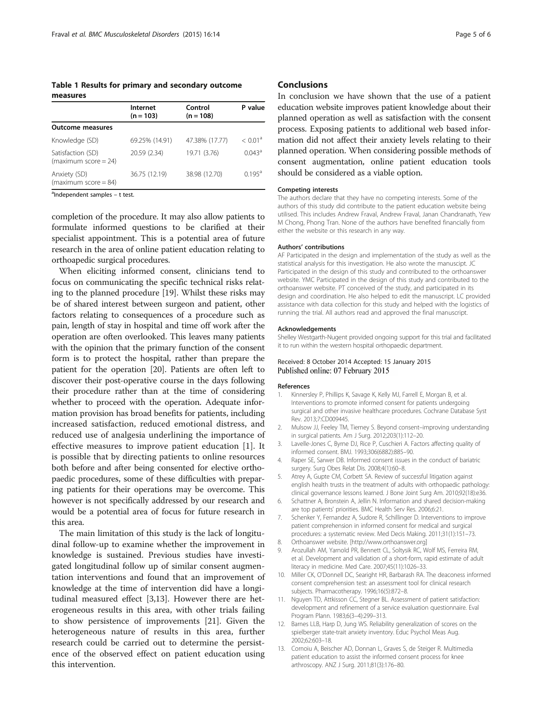<span id="page-4-0"></span>Table 1 Results for primary and secondary outcome measures

|                                                                                                                                                                                                                                                                                                                                                               | <b>Internet</b><br>$(n = 103)$ | Control<br>$(n = 108)$ | P value             |
|---------------------------------------------------------------------------------------------------------------------------------------------------------------------------------------------------------------------------------------------------------------------------------------------------------------------------------------------------------------|--------------------------------|------------------------|---------------------|
| <b>Outcome measures</b>                                                                                                                                                                                                                                                                                                                                       |                                |                        |                     |
| Knowledge (SD)                                                                                                                                                                                                                                                                                                                                                | 69.25% (14.91)                 | 47.38% (17.77)         | < 0.01 <sup>a</sup> |
| Satisfaction (SD)<br>(maximum score $= 24$ )                                                                                                                                                                                                                                                                                                                  | 20.59 (2.34)                   | 19.71 (3.76)           | $0.043^{\circ}$     |
| Anxiety (SD)<br>(maximum score $= 84$ )                                                                                                                                                                                                                                                                                                                       | 36.75 (12.19)                  | 38.98 (12.70)          | $0.195^{\circ}$     |
| $\alpha$ $\alpha$ + $\alpha$ + $\alpha$ + $\alpha$ + $\alpha$ + $\alpha$ + $\alpha$ + $\alpha$ + $\alpha$ + $\alpha$ + $\alpha$ + $\alpha$ + $\alpha$ + $\alpha$ + $\alpha$ + $\alpha$ + $\alpha$ + $\alpha$ + $\alpha$ + $\alpha$ + $\alpha$ + $\alpha$ + $\alpha$ + $\alpha$ + $\alpha$ + $\alpha$ + $\alpha$ + $\alpha$ + $\alpha$ + $\alpha$ + $\alpha$ + |                                |                        |                     |

<sup>a</sup>Independent samples – t test.

completion of the procedure. It may also allow patients to formulate informed questions to be clarified at their specialist appointment. This is a potential area of future research in the area of online patient education relating to orthoapedic surgical procedures.

When eliciting informed consent, clinicians tend to focus on communicating the specific technical risks relating to the planned procedure [\[19\]](#page-5-0). Whilst these risks may be of shared interest between surgeon and patient, other factors relating to consequences of a procedure such as pain, length of stay in hospital and time off work after the operation are often overlooked. This leaves many patients with the opinion that the primary function of the consent form is to protect the hospital, rather than prepare the patient for the operation [[20](#page-5-0)]. Patients are often left to discover their post-operative course in the days following their procedure rather than at the time of considering whether to proceed with the operation. Adequate information provision has broad benefits for patients, including increased satisfaction, reduced emotional distress, and reduced use of analgesia underlining the importance of effective measures to improve patient education [1]. It is possible that by directing patients to online resources both before and after being consented for elective orthopaedic procedures, some of these difficulties with preparing patients for their operations may be overcome. This however is not specifically addressed by our research and would be a potential area of focus for future research in this area.

The main limitation of this study is the lack of longitudinal follow-up to examine whether the improvement in knowledge is sustained. Previous studies have investigated longitudinal follow up of similar consent augmentation interventions and found that an improvement of knowledge at the time of intervention did have a longitudinal measured effect [3,13]. However there are heterogeneous results in this area, with other trials failing to show persistence of improvements [[21\]](#page-5-0). Given the heterogeneous nature of results in this area, further research could be carried out to determine the persistence of the observed effect on patient education using this intervention.

#### Conclusions

In conclusion we have shown that the use of a patient education website improves patient knowledge about their planned operation as well as satisfaction with the consent process. Exposing patients to additional web based information did not affect their anxiety levels relating to their planned operation. When considering possible methods of consent augmentation, online patient education tools should be considered as a viable option.

#### Competing interests

The authors declare that they have no competing interests. Some of the authors of this study did contribute to the patient education website being utilised. This includes Andrew Fraval, Andrew Fraval, Janan Chandranath, Yew M Chong, Phong Tran. None of the authors have benefited financially from either the website or this research in any way.

#### Authors' contributions

AF Participated in the design and implementation of the study as well as the statistical analysis for this investigation. He also wrote the manuscipt. JC Participated in the design of this study and contributed to the orthoanswer website. YMC Participated in the design of this study and contributed to the orthoanswer website. PT conceived of the study, and participated in its design and coordination. He also helped to edit the manuscript. LC provided assistance with data collection for this study and helped with the logistics of running the trial. All authors read and approved the final manuscript.

#### Acknowledgements

Shelley Westgarth-Nugent provided ongoing support for this trial and facilitated it to run within the western hospital orthopaedic department.

#### Received: 8 October 2014 Accepted: 15 January 2015 Published online: 07 February 2015

#### References

- 1. Kinnersley P, Phillips K, Savage K, Kelly MJ, Farrell E, Morgan B, et al. Interventions to promote informed consent for patients undergoing surgical and other invasive healthcare procedures. Cochrane Database Syst Rev. 2013;7:CD009445.
- 2. Mulsow JJ, Feeley TM, Tierney S. Beyond consent–improving understanding in surgical patients. Am J Surg. 2012;203(1):112–20.
- 3. Lavelle-Jones C, Byrne DJ, Rice P, Cuschieri A. Factors affecting quality of informed consent. BMJ. 1993;306(6882):885–90.
- 4. Raper SE, Sarwer DB. Informed consent issues in the conduct of bariatric surgery. Surg Obes Relat Dis. 2008;4(1):60–8.
- 5. Atrey A, Gupte CM, Corbett SA. Review of successful litigation against english health trusts in the treatment of adults with orthopaedic pathology: clinical governance lessons learned. J Bone Joint Surg Am. 2010;92(18):e36.
- 6. Schattner A, Bronstein A, Jellin N. Information and shared decision-making are top patients' priorities. BMC Health Serv Res. 2006;6:21.
- 7. Schenker Y, Fernandez A, Sudore R, Schillinger D. Interventions to improve patient comprehension in informed consent for medical and surgical procedures: a systematic review. Med Decis Making. 2011;31(1):151–73.
- 8. Orthoanswer website. [[http://www.orthoanswer.org\]](http://www.orthoanswer.org)
- 9. Arozullah AM, Yarnold PR, Bennett CL, Soltysik RC, Wolf MS, Ferreira RM, et al. Development and validation of a short-form, rapid estimate of adult literacy in medicine. Med Care. 2007;45(11):1026–33.
- 10. Miller CK, O'Donnell DC, Searight HR, Barbarash RA. The deaconess informed consent comprehension test: an assessment tool for clinical research subjects. Pharmacotherapy. 1996;16(5):872–8.
- 11. Nguyen TD, Attkisson CC, Stegner BL. Assessment of patient satisfaction: development and refinement of a service evaluation questionnaire. Eval Program Plann. 1983;6(3–4):299–313.
- 12. Barnes LLB, Harp D, Jung WS. Reliability generalization of scores on the spielberger state-trait anxiety inventory. Educ Psychol Meas Aug. 2002;62:603–18.
- 13. Cornoiu A, Beischer AD, Donnan L, Graves S, de Steiger R. Multimedia patient education to assist the informed consent process for knee arthroscopy. ANZ J Surg. 2011;81(3):176–80.